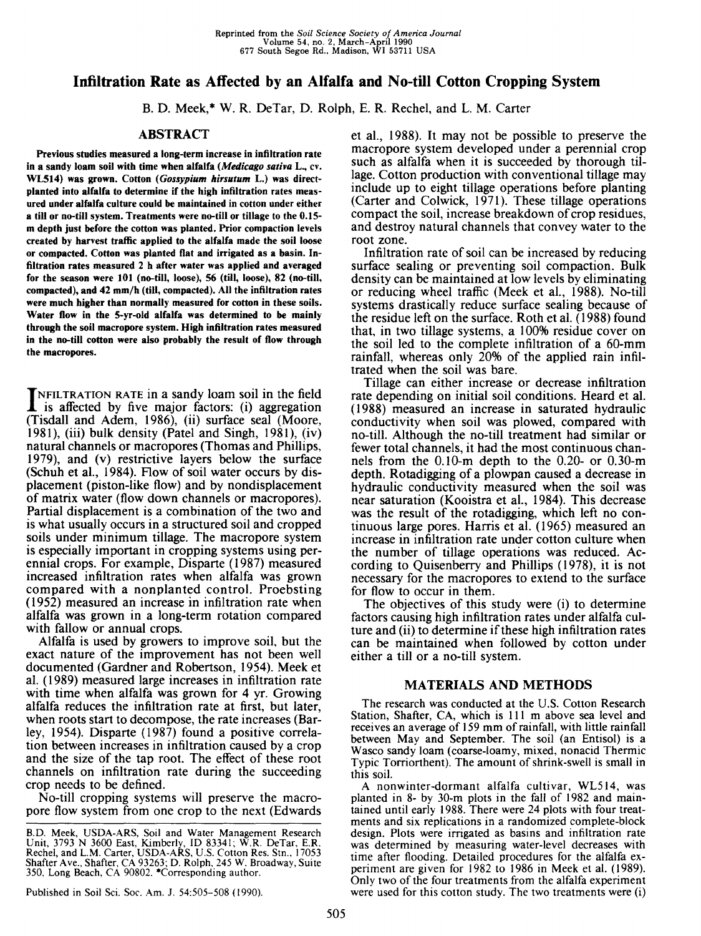# **Infiltration Rate as Affected by an Alfalfa and No-till Cotton Cropping System**

B. D. Meek,\* W. R. DeTar, D. Rolph, E. R. Rechel, and L. M. Carter

# **ABSTRACT**

**Previous studies measured a long-term increase in infiltration rate in a sandy loam soil with time when alfalfa** *(Medicago saliva* **L.,** *cv.* **WL514) was grown. Cotton** *(Gossypium hirsutum* **L.) was directplanted into alfalfa to determine if the high infiltration rates measured under alfalfa culture could be maintained in cotton under either a till or no-till system. Treatments were no-till or tillage to the 0.15 m depth just before the cotton was planted. Prior compaction levels created by harvest traffic applied to the alfalfa made the soil loose or compacted. Cotton was planted flat and irrigated as a basin. Infiltration rates measured 2 h after water was applied and averaged for the season were 101 (no-till, loose), 56 (till, loose), 82 (no-till, compacted), and 42 mm/h (till, compacted). All the infiltration rates were much higher than normally measured for cotton in these soils. Water flow in the 5-yr-old alfalfa was determined to be mainly through the soil macropore system. High infiltration rates measured in the no-till cotton were also probably the result of flow through the macropores.**

INFILTRATION RATE in a sandy loam soil in the field<br>is affected by five major factors: (i) aggregation is affected by five major factors: (i) aggregation (Tisdall and Adem, 1986), (ii) surface seal (Moore, 1981), (iii) bulk density (Patel and Singh, 1981), (iv) natural channels or macropores (Thomas and Phillips, 1979), and (v) restrictive layers below the surface (Schuh et al., 1984). Flow of soil water occurs by displacement (piston-like flow) and by nondisplacement of matrix water (flow down channels or macropores). Partial displacement is a combination of the two and is what usually occurs in a structured soil and cropped soils under minimum tillage. The macropore system is especially important in cropping systems using perennial crops. For example, Disparte (1987) measured increased infiltration rates when alfalfa was grown compared with a nonplanted control. Proebsting (1952) measured an increase in infiltration rate when alfalfa was grown in a long-term rotation compared with fallow or annual crops.

Alfalfa is used by growers to improve soil, but the exact nature of the improvement has not been well documented (Gardner and Robertson, 1954). Meek et al. (1989) measured large increases in infiltration rate with time when alfalfa was grown for 4 yr. Growing alfalfa reduces the infiltration rate at first, but later, when roots start to decompose, the rate increases (Barley, 1954). Disparte (1987) found a positive correlation between increases in infiltration caused by a crop and the size of the tap root. The effect of these root channels on infiltration rate during the succeeding crop needs to be defined.

No-till cropping systems will preserve the macropore flow system from one crop to the next (Edwards

Published in Soil Sci. Soc. Am. J. 54:505-508 (1990).

et al., 1988). It may not be possible to preserve the macropore system developed under a perennial crop such as alfalfa when it is succeeded by thorough tillage. Cotton production with conventional tillage may include up to eight tillage operations before planting (Carter and Colwick, 1971). These tillage operations compact the soil, increase breakdown of crop residues, and destroy natural channels that convey water to the root zone.

Infiltration rate of soil can be increased by reducing surface sealing or preventing soil compaction. Bulk density can be maintained at low levels by eliminating or reducing wheel traffic (Meek et al., 1988). No-till systems drastically reduce surface sealing because of the residue left on the surface. Roth et al. (1988) found that, in two tillage systems, a 100% residue cover on the soil led to the complete infiltration of a 60-mm rainfall, whereas only 20% of the applied rain infiltrated when the soil was bare.

Tillage can either increase or decrease infiltration rate depending on initial soil conditions. Heard et al. (1988) measured an increase in saturated hydraulic conductivity when soil was plowed, compared with no-till. Although the no-till treatment had similar or fewer total channels, it had the most continuous channels from the 0.10-m depth to the 0.20- or 0.30-m depth. Rotadigging of a plowpan caused a decrease in hydraulic conductivity measured when the soil was near saturation (Kooistra et al., 1984). This decrease was the result of the rotadigging, which left no continuous large pores. Harris et al. (1965) measured an increase in infiltration rate under cotton culture when the number of tillage operations was reduced. According to Quisenberry and Phillips (1978), it is not necessary for the macropores to extend to the surface for flow to occur in them.

The objectives of this study were (i) to determine factors causing high infiltration rates under alfalfa culture and (ii) to determine if these high infiltration rates can be maintained when followed by cotton under either a till or a no-till system.

## **MATERIALS AND METHODS**

The research was conducted at the U.S. Cotton Research Station, Shafter, CA, which is 111 m above sea level and receives an average of 159 mm of rainfall, with little rainfall between May and September. The soil (an Entisol) is a Wasco sandy loam (coarse-loamy, mixed, nonacid Thermic Typic Torriorthent). The amount of shrink-swell is small in this soil.

A nonwinter-dormant alfalfa cultivar, WL514, was planted in 8- by 30-m plots in the fall of 1982 and maintained until early 1988. There were 24 plots with four treatments and six replications in a randomized complete-block design. Plots were irrigated as basins and infiltration rate was determined by measuring water-level decreases with time after flooding. Detailed procedures for the alfalfa experiment are given for 1982 to 1986 in Meek et al. (1989). Only two of the four treatments from the alfalfa experiment were used for this cotton study. The two treatments were (i)

B.D. Meek, USDA-ARS, Soil and Water Management Research Unit, 3793 N 3600 East, Kimberly, ID 83341; W.R. DeTar, E.R. Rechel, and L.M. Carter, USDA-ARS, U.S. Cotton Res. Stn., 17053 Shafter Ave., Shafter, CA 93263; D. Rolph, 245 W. Broadway, Suite 350, Long Beach, CA 90802. \*Corresponding author.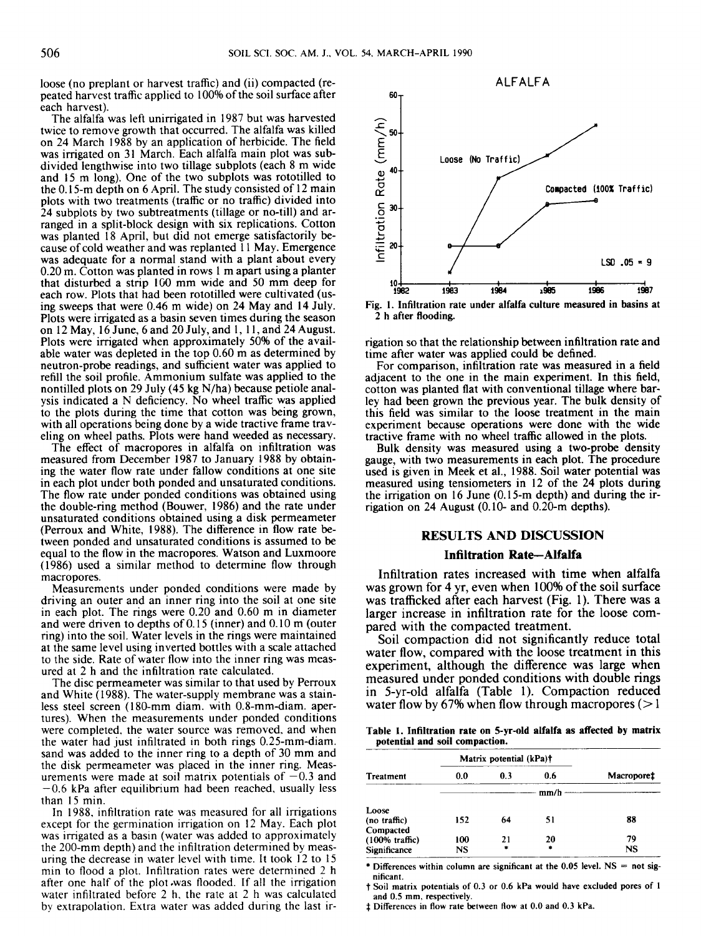loose (no preplant or harvest traffic) and (ii) compacted (repeated harvest traffic applied to 100% of the soil surface after each harvest).

The alfalfa was left unirrigated in 1987 but was harvested twice to remove growth that occurred. The alfalfa was killed on 24 March 1988 by an application of herbicide. The field was irrigated on 31 March. Each alfalfa main plot was subdivided lengthwise into two tillage subplots (each 8 m wide and 15 m long). One of the two subplots was rototilled to the 0.15-m depth on 6 April. The study consisted of 12 main plots with two treatments (traffic or no traffic) divided into 24 subplots by two subtreatments (tillage or no-till) and arranged in a split-block design with six replications. Cotton was planted 18 April, but did not emerge satisfactorily because of cold weather and was replanted 11 May. Emergence was adequate for a normal stand with a plant about every 0.20 m. Cotton was planted in rows 1 m apart using a planter that disturbed a strip 100 mm wide and 50 mm deep for each row. Plots that had been rototilled were cultivated (using sweeps that were 0.46 m wide) on 24 May and 14 July. Plots were irrigated as a basin seven times during the season on 12 May, 16 June, 6 and 20 July, and 1, 11, and 24 August. Plots were irrigated when approximately 50% of the available water was depleted in the top 0.60 m as determined by neutron-probe readings, and sufficient water was applied to refill the soil profile. Ammonium sulfate was applied to the nontilled plots on 29 July (45 kg N/ha) because petiole analysis indicated a N deficiency. No wheel traffic was applied to the plots during the time that cotton was being grown, with all operations being done by a wide tractive frame traveling on wheel paths. Plots were hand weeded as necessary.

The effect of macropores in alfalfa on infiltration was measured from December 1987 to January 1988 by obtaining the water flow rate under fallow conditions at one site in each plot under both ponded and unsaturated conditions. The flow rate under ponded conditions was obtained using the double-ring method (Bouwer, 1986) and the rate under unsaturated conditions obtained using a disk permeameter (Perroux and White, 1988). The difference in flow rate between ponded and unsaturated conditions is assumed to be equal to the flow in the macropores. Watson and Luxmoore (1986) used a similar method to determine flow through macropores.

Measurements under ponded conditions were made by driving an outer and an inner ring into the soil at one site in each plot. The rings were 0.20 and 0.60 m in diameter and were driven to depths of 0.15 (inner) and 0.10 m (outer ring) into the soil. Water levels in the rings were maintained at the same level using inverted bottles with a scale attached to the side. Rate of water flow into the inner ring was measured at 2 h and the infiltration rate calculated.

The disc permeameter was similar to that used by Perroux and White (1988). The water-supply membrane was a stainless steel screen (180-mm diam. with 0.8-mm-diam. apertures). When the measurements under ponded conditions were completed, the water source was removed, and when the water had just infiltrated in both rings 0.25-mm-diam. sand was added to the inner ring to a depth of 30 mm and the disk permeameter was placed in the inner ring. Measurements were made at soil matrix potentials of  $-0.3$  and  $-0.6$  kPa after equilibrium had been reached, usually less than 15 min.

In 1988, infiltration rate was measured for all irrigations except for the germination irrigation on 12 May. Each plot was irrigated as a basin (water was added to approximately the 200-mm depth) and the infiltration determined by measuring the decrease in water level with time. It took 12 to 15 min to flood a plot. Infiltration rates were determined 2 h after one half of the plot .was flooded. If all the irrigation water infiltrated before 2 h, the rate at 2 h was calculated by extrapolation. Extra water was added during the last ir-



2 h after flooding.

rigation so that the relationship between infiltration rate and time after water was applied could be defined.

For comparison, infiltration rate was measured in a field adjacent to the one in the main experiment. In this field, cotton was planted flat with conventional tillage where barley had been grown the previous year. The bulk density of this field was similar to the loose treatment in the main experiment because operations were done with the wide tractive frame with no wheel traffic allowed in the plots.

Bulk density was measured using a two-probe density gauge, with two measurements in each plot. The procedure used is given in Meek et al., 1988. Soil water potential was measured using tensiometers in 12 of the 24 plots during the irrigation on 16 June (0.15-m depth) and during the irrigation on 24 August (0.10- and 0.20-m depths).

## **RESULTS AND DISCUSSION**

#### **Infiltration Rate—Alfalfa**

Infiltration rates increased with time when alfalfa was grown for 4 yr, even when 100% of the soil surface was trafficked after each harvest (Fig. 1). There was a larger increase in infiltration rate for the loose compared with the compacted treatment.

Soil compaction did not significantly reduce total water flow, compared with the loose treatment in this experiment, although the difference was large when measured under ponded conditions with double rings in 5-yr-old alfalfa (Table 1). Compaction reduced water flow by 67% when flow through macropores  $(>1$ 

**Table 1. Infiltration rate on 5-yr-old alfalfa as affected by matrix potential and soil compaction.**

|                           | Matrix potential (kPa)† |        |     |            |  |  |  |
|---------------------------|-------------------------|--------|-----|------------|--|--|--|
| Treatment                 | 0.0                     | 0.3    | 0.6 | Macroporet |  |  |  |
|                           |                         |        |     |            |  |  |  |
| Loose                     |                         |        |     |            |  |  |  |
| (no traffic)              | 152                     | 64     | 51  | 88         |  |  |  |
| Compacted                 |                         |        |     |            |  |  |  |
| $(100\% \text{ traffic})$ | 100                     | 21     | 20  | 79         |  |  |  |
| Significance              | NS                      | $\ast$ | ٠   | NS         |  |  |  |

\* Differences within column are significant at the 0.05 level.  $NS = not$  significant.

t Soil matrix potentials of 0.3 or 0.6 kPa would have excluded pores of 1 and 0.5 mm, respectively.

Differences in flow rate between flow at 0.0 and 0.3 kPa.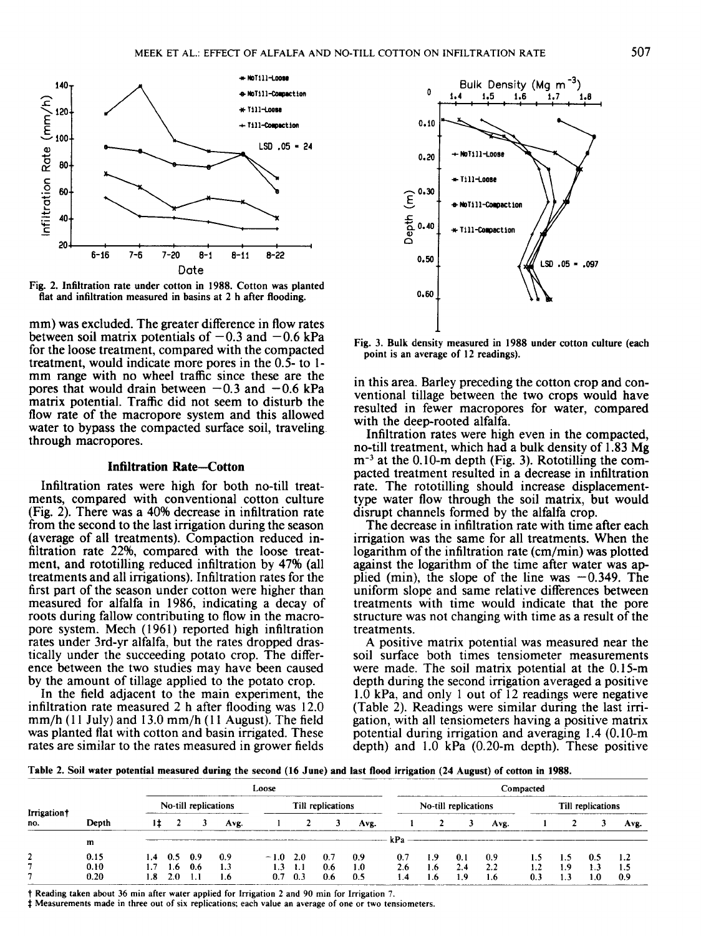

Fig. 2. Infiltration rate under cotton in 1988. Cotton was planted flat and infiltration measured in basins at 2 h after flooding.

mm) was excluded. The greater difference in flow rates between soil matrix potentials of  $-0.3$  and  $-0.6$  kPa for the loose treatment, compared with the compacted treatment, would indicate more pores in the 0.5- to 1 mm range with no wheel traffic since these are the pores that would drain between  $-0.3$  and  $-0.6$  kPa matrix potential. Traffic did not seem to disturb the flow rate of the macropore system and this allowed water to bypass the compacted surface soil, traveling through macropores.

### **Infiltration Rate-Cotton**

Infiltration rates were high for both no-till treatments, compared with conventional cotton culture (Fig. 2). There was a 40% decrease in infiltration rate from the second to the last irrigation during the season (average of all treatments). Compaction reduced infiltration rate 22%, compared with the loose treatment, and rototilling reduced infiltration by 47% (all treatments and all irrigations). Infiltration rates for the first part of the season under cotton were higher than measured for alfalfa in 1986, indicating a decay of roots during fallow contributing to flow in the macropore system. Mech (1961) reported high infiltration rates under 3rd-yr alfalfa, but the rates dropped drastically under the succeeding potato crop. The difference between the two studies may have been caused by the amount of tillage applied to the potato crop.

In the field adjacent to the main experiment, the infiltration rate measured 2 h after flooding was 12.0 mm/h (11 July) and 13.0 mm/h (11 August). The field was planted flat with cotton and basin irrigated. These rates are similar to the rates measured in grower fields



Fig. 3. Bulk density measured in 1988 under cotton culture (each point is an average of 12 readings).

in this area. Barley preceding the cotton crop and conventional tillage between the two crops would have resulted in fewer macropores for water, compared with the deep-rooted alfalfa.

Infiltration rates were high even in the compacted, no-till treatment, which had a bulk density of 1.83 Mg  $m<sup>-3</sup>$  at the 0.10-m depth (Fig. 3). Rototilling the compacted treatment resulted in a decrease in infiltration rate. The rototilling should increase displacementtype water flow through the soil matrix, but would disrupt channels formed by the alfalfa crop.

The decrease in infiltration rate with time after each irrigation was the same for all treatments. When the logarithm of the infiltration rate (cm/min) was plotted against the logarithm of the time after water was applied (min), the slope of the line was  $-0.349$ . The uniform slope and same relative differences between treatments with time would indicate that the pore structure was not changing with time as a result of the treatments.

A positive matrix potential was measured near the soil surface both times tensiometer measurements were made. The soil matrix potential at the 0.15-m depth during the second irrigation averaged a positive 1.0 kPa, and only 1 out of 12 readings were negative (Table 2). Readings were similar during the last irrigation, with all tensiometers having a positive matrix potential during irrigation and averaging 1.4 (0.10-m depth) and 1.0 kPa (0.20-m depth). These positive

**Table** 2. Soil **water potential measured during** the second **(16 June) and last flood** irrigation (24 August) of cotton **in 1988.**

| Irrigation<br>no. |       | Loose                |                           |     |                   |            |                   |                      | Compacted |     |                   |     |      |     |     |     |      |
|-------------------|-------|----------------------|---------------------------|-----|-------------------|------------|-------------------|----------------------|-----------|-----|-------------------|-----|------|-----|-----|-----|------|
|                   |       | No-till replications |                           |     | Till replications |            |                   | No-till replications |           |     | Till replications |     |      |     |     |     |      |
|                   | Depth |                      |                           |     | Ave.              |            |                   |                      | Ave.      |     |                   |     | Ave. |     |     |     | Avr. |
|                   | m     |                      |                           |     |                   |            |                   |                      |           | kPa |                   |     |      |     |     |     |      |
|                   | 0.15  |                      | $1.4 \quad 0.5 \quad 0.9$ |     | 0.9               | $-1.0$ 2.0 |                   | 0.7                  | -0.9      | 0.7 | - 1.9             | 0.1 | 0.9  | 1.5 | 1.5 | 0.5 | 1.2  |
|                   | 0.10  |                      | $1.6^{\circ}$             | 0.6 | 1.3               | 1.3        | $\sim$ 1.1 $\sim$ | 0.6                  | 1.0       | 2.6 | 1.6               | 2.4 | 2.2  | 1.2 | 1.9 | 1.3 |      |
|                   | 0.20  | 1.8                  | 2.0                       |     | 1.6               |            | 0.3               | 0.6                  | 0.5       | 1.4 | 1.6 <sub>1</sub>  | 1.9 | 1.6  | 0.3 | 1.3 | 1.0 | 0.9  |

t Reading taken about 36 min after water applied for Irrigation 2 and 90 min for Irrigation 7.

Measurements made in three out of six replications; each value an average of one or two tensiometers.